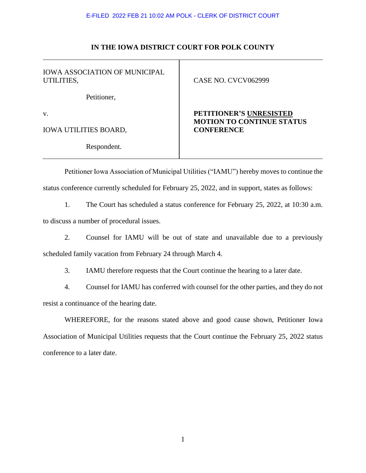#### E-FILED 2022 FEB 21 10:02 AM POLK - CLERK OF DISTRICT COURT

### **IN THE IOWA DISTRICT COURT FOR POLK COUNTY**

IOWA ASSOCIATION OF MUNICIPAL UTILITIES,

Petitioner,

v.

IOWA UTILITIES BOARD,

Respondent.

### CASE NO. CVCV062999

## **PETITIONER'S UNRESISTED MOTION TO CONTINUE STATUS CONFERENCE**

Petitioner Iowa Association of Municipal Utilities ("IAMU") hereby moves to continue the status conference currently scheduled for February 25, 2022, and in support, states as follows:

1. The Court has scheduled a status conference for February 25, 2022, at 10:30 a.m. to discuss a number of procedural issues.

2. Counsel for IAMU will be out of state and unavailable due to a previously scheduled family vacation from February 24 through March 4.

3. IAMU therefore requests that the Court continue the hearing to a later date.

4. Counsel for IAMU has conferred with counsel for the other parties, and they do not resist a continuance of the hearing date.

WHEREFORE, for the reasons stated above and good cause shown, Petitioner Iowa Association of Municipal Utilities requests that the Court continue the February 25, 2022 status conference to a later date.